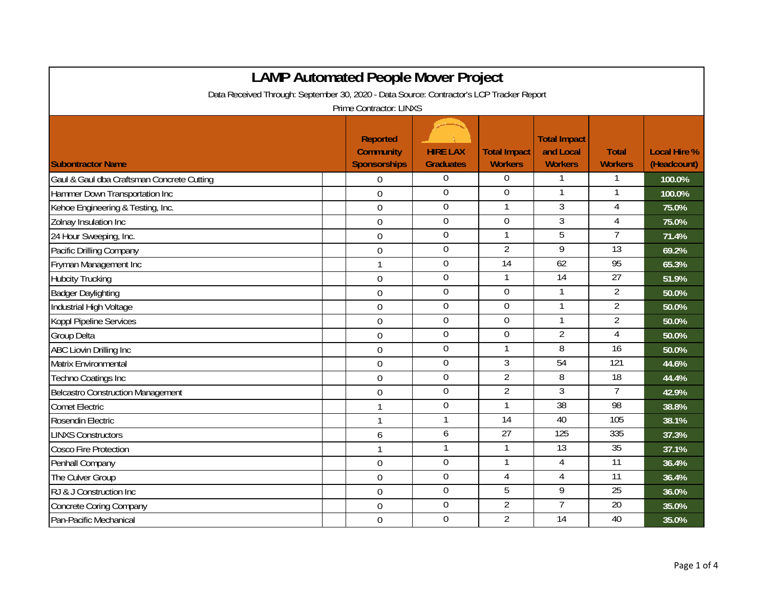|                                                                                          | <b>LAMP Automated People Mover Project</b>                 |                                     |                                       |                                                    |                                |                                    |  |  |
|------------------------------------------------------------------------------------------|------------------------------------------------------------|-------------------------------------|---------------------------------------|----------------------------------------------------|--------------------------------|------------------------------------|--|--|
| Data Received Through: September 30, 2020 - Data Source: Contractor's LCP Tracker Report |                                                            |                                     |                                       |                                                    |                                |                                    |  |  |
| Prime Contractor: LINXS                                                                  |                                                            |                                     |                                       |                                                    |                                |                                    |  |  |
| <b>Subontractor Name</b>                                                                 | <b>Reported</b><br><b>Community</b><br><b>Sponsorships</b> | <b>HIRE LAX</b><br><b>Graduates</b> | <b>Total Impact</b><br><b>Workers</b> | <b>Total Impact</b><br>and Local<br><b>Workers</b> | <b>Total</b><br><b>Workers</b> | <b>Local Hire %</b><br>(Headcount) |  |  |
| Gaul & Gaul dba Craftsman Concrete Cutting                                               | $\overline{0}$                                             | 0                                   | 0                                     | 1                                                  | 1                              | 100.0%                             |  |  |
| Hammer Down Transportation Inc                                                           | $\overline{0}$                                             | $\mathbf 0$                         | 0                                     | $\mathbf{1}$                                       |                                | 100.0%                             |  |  |
| Kehoe Engineering & Testing, Inc.                                                        | $\boldsymbol{0}$                                           | $\mathbf 0$                         | 1                                     | $\overline{3}$                                     | 4                              | 75.0%                              |  |  |
| Zolnay Insulation Inc                                                                    | $\mathbf 0$                                                | $\overline{0}$                      | $\overline{0}$                        | $\overline{3}$                                     | $\overline{4}$                 | 75.0%                              |  |  |
| 24 Hour Sweeping, Inc.                                                                   | $\mathbf 0$                                                | $\overline{0}$                      | 1                                     | $\overline{5}$                                     | $\overline{7}$                 | 71.4%                              |  |  |
| Pacific Drilling Company                                                                 | $\mathbf 0$                                                | $\mathbf 0$                         | $\overline{2}$                        | 9                                                  | $\overline{13}$                | 69.2%                              |  |  |
| Fryman Management Inc                                                                    | $\mathbf{1}$                                               | $\mathbf 0$                         | 14                                    | 62                                                 | 95                             | 65.3%                              |  |  |
| <b>Hubcity Trucking</b>                                                                  | $\mathbf 0$                                                | $\boldsymbol{0}$                    | 1                                     | 14                                                 | 27                             | 51.9%                              |  |  |
| <b>Badger Daylighting</b>                                                                | $\boldsymbol{0}$                                           | $\mathbf 0$                         | $\mathbf 0$                           | $\mathbf{1}$                                       | $\overline{2}$                 | 50.0%                              |  |  |
| Industrial High Voltage                                                                  | $\mathbf 0$                                                | $\boldsymbol{0}$                    | $\boldsymbol{0}$                      | $\mathbf{1}$                                       | $\overline{2}$                 | 50.0%                              |  |  |
| Koppl Pipeline Services                                                                  | $\mathbf 0$                                                | $\mathbf 0$                         | 0                                     | $\mathbf{1}$                                       | $\overline{2}$                 | 50.0%                              |  |  |
| <b>Group Delta</b>                                                                       | $\overline{0}$                                             | $\boldsymbol{0}$                    | 0                                     | $\overline{2}$                                     | $\overline{4}$                 | 50.0%                              |  |  |
| <b>ABC Liovin Drilling Inc</b>                                                           | $\mathbf 0$                                                | 0                                   | 1                                     | 8                                                  | 16                             | 50.0%                              |  |  |
| Matrix Environmental                                                                     | $\overline{0}$                                             | $\overline{0}$                      | $\mathfrak{Z}$                        | $\overline{54}$                                    | $\overline{121}$               | 44.6%                              |  |  |
| Techno Coatings Inc                                                                      | $\boldsymbol{0}$                                           | $\mathbf 0$                         | $\overline{2}$                        | $\overline{8}$                                     | $\overline{18}$                | 44.4%                              |  |  |
| Belcastro Construction Management                                                        | $\mathbf 0$                                                | $\boldsymbol{0}$                    | $\overline{2}$                        | $\overline{3}$                                     | $\overline{7}$                 | 42.9%                              |  |  |
| <b>Comet Electric</b>                                                                    | $\mathbf{1}$                                               | $\mathbf 0$                         | 1                                     | $\overline{38}$                                    | 98                             | 38.8%                              |  |  |
| Rosendin Electric                                                                        | $\mathbf{1}$                                               | 1                                   | $\overline{14}$                       | 40                                                 | 105                            | 38.1%                              |  |  |
| <b>LINXS Constructors</b>                                                                | 6                                                          | 6                                   | $\overline{27}$                       | 125                                                | 335                            | 37.3%                              |  |  |
| <b>Cosco Fire Protection</b>                                                             | $\mathbf{1}$                                               | 1                                   | $\mathbf{1}$                          | $\overline{13}$                                    | 35                             | 37.1%                              |  |  |
| Penhall Company                                                                          | $\mathbf 0$                                                | $\mathbf 0$                         | 1                                     | $\overline{4}$                                     | $\overline{11}$                | 36.4%                              |  |  |
| The Culver Group                                                                         | $\mathbf 0$                                                | $\boldsymbol{0}$                    | 4                                     | 4                                                  | 11                             | 36.4%                              |  |  |
| RJ & J Construction Inc                                                                  | $\mathbf 0$                                                | $\boldsymbol{0}$                    | 5                                     | 9                                                  | 25                             | 36.0%                              |  |  |
| <b>Concrete Coring Company</b>                                                           | $\overline{0}$                                             | $\overline{0}$                      | $\overline{2}$                        | $\overline{7}$                                     | $\overline{20}$                | 35.0%                              |  |  |
| Pan-Pacific Mechanical                                                                   | $\overline{0}$                                             | $\overline{0}$                      | $\overline{2}$                        | $\overline{14}$                                    | 40                             | 35.0%                              |  |  |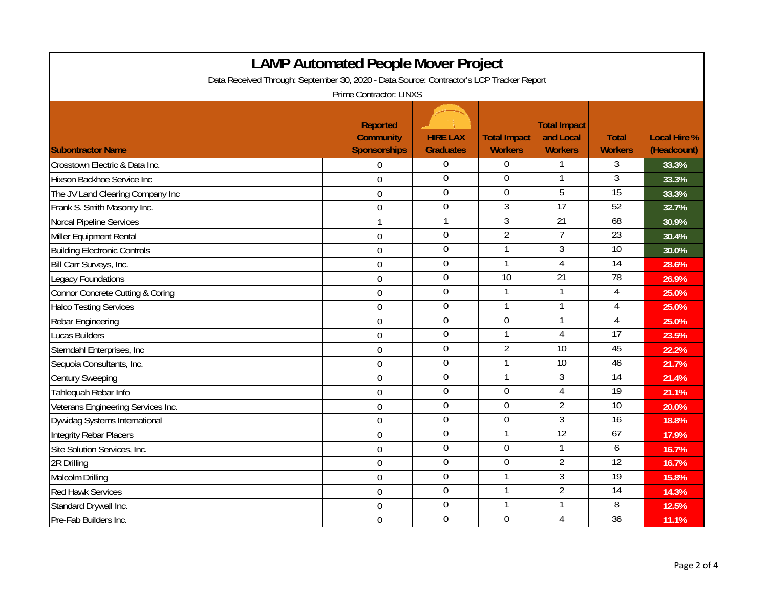|                                                                                          |  | <b>LAMP Automated People Mover Project</b>                 |                                     |                                       |                                                    |                                |                                    |  |
|------------------------------------------------------------------------------------------|--|------------------------------------------------------------|-------------------------------------|---------------------------------------|----------------------------------------------------|--------------------------------|------------------------------------|--|
| Data Received Through: September 30, 2020 - Data Source: Contractor's LCP Tracker Report |  |                                                            |                                     |                                       |                                                    |                                |                                    |  |
| Prime Contractor: LINXS                                                                  |  |                                                            |                                     |                                       |                                                    |                                |                                    |  |
| <b>Subontractor Name</b>                                                                 |  | <b>Reported</b><br><b>Community</b><br><b>Sponsorships</b> | <b>HIRE LAX</b><br><b>Graduates</b> | <b>Total Impact</b><br><b>Workers</b> | <b>Total Impact</b><br>and Local<br><b>Workers</b> | <b>Total</b><br><b>Workers</b> | <b>Local Hire %</b><br>(Headcount) |  |
| Crosstown Electric & Data Inc.                                                           |  | $\Omega$                                                   | $\boldsymbol{0}$                    | $\boldsymbol{0}$                      | 1                                                  | 3                              | 33.3%                              |  |
| Hixson Backhoe Service Inc                                                               |  | $\mathbf 0$                                                | $\overline{0}$                      | $\boldsymbol{0}$                      | 1                                                  | 3                              | 33.3%                              |  |
| The JV Land Clearing Company Inc                                                         |  | $\overline{0}$                                             | $\mathbf 0$                         | $\boldsymbol{0}$                      | 5                                                  | $\overline{15}$                | 33.3%                              |  |
| Frank S. Smith Masonry Inc.                                                              |  | $\mathbf 0$                                                | $\overline{0}$                      | $\overline{3}$                        | 17                                                 | 52                             | 32.7%                              |  |
| Norcal Pipeline Services                                                                 |  | $\mathbf{1}$                                               | 1                                   | $\overline{3}$                        | $\overline{21}$                                    | 68                             | 30.9%                              |  |
| Miller Equipment Rental                                                                  |  | $\mathbf 0$                                                | $\overline{0}$                      | $\overline{2}$                        | $\overline{7}$                                     | 23                             | 30.4%                              |  |
| <b>Building Electronic Controls</b>                                                      |  | $\mathbf 0$                                                | $\boldsymbol{0}$                    | $\mathbf{1}$                          | 3                                                  | $\overline{10}$                | 30.0%                              |  |
| Bill Carr Surveys, Inc.                                                                  |  | $\mathbf 0$                                                | $\overline{0}$                      | 1                                     | $\overline{4}$                                     | 14                             | 28.6%                              |  |
| Legacy Foundations                                                                       |  | $\mathbf 0$                                                | $\mathbf 0$                         | $\overline{10}$                       | $\overline{21}$                                    | $\overline{78}$                | 26.9%                              |  |
| Connor Concrete Cutting & Coring                                                         |  | $\mathbf 0$                                                | $\mathbf 0$                         | $\mathbf{1}$                          | 1                                                  | 4                              | 25.0%                              |  |
| <b>Halco Testing Services</b>                                                            |  | $\mathbf 0$                                                | $\mathbf 0$                         | $\mathbf{1}$                          | $\mathbf{1}$                                       | $\overline{4}$                 | 25.0%                              |  |
| Rebar Engineering                                                                        |  | $\mathbf 0$                                                | $\overline{0}$                      | 0                                     | $\mathbf{1}$                                       | $\overline{4}$                 | 25.0%                              |  |
| <b>Lucas Builders</b>                                                                    |  | $\mathbf 0$                                                | $\boldsymbol{0}$                    | 1                                     | $\overline{4}$                                     | 17                             | 23.5%                              |  |
| Sterndahl Enterprises, Inc.                                                              |  | $\mathbf 0$                                                | $\mathbf 0$                         | $\overline{2}$                        | $\overline{10}$                                    | 45                             | 22.2%                              |  |
| Sequoia Consultants, Inc.                                                                |  | $\mathbf 0$                                                | $\mathbf 0$                         | $\mathbf{1}$                          | $\overline{10}$                                    | 46                             | 21.7%                              |  |
| <b>Century Sweeping</b>                                                                  |  | $\overline{0}$                                             | $\overline{0}$                      | $\mathbf{1}$                          | $\overline{3}$                                     | 14                             | 21.4%                              |  |
| Tahlequah Rebar Info                                                                     |  | $\mathbf 0$                                                | $\overline{0}$                      | $\overline{0}$                        | $\overline{4}$                                     | 19                             | 21.1%                              |  |
| Veterans Engineering Services Inc.                                                       |  | $\mathbf 0$                                                | $\overline{0}$                      | $\mathbf 0$                           | $\overline{2}$                                     | $\overline{10}$                | 20.0%                              |  |
| Dywidag Systems International                                                            |  | $\mathbf 0$                                                | $\overline{0}$                      | $\overline{0}$                        | $\overline{3}$                                     | $\overline{16}$                | 18.8%                              |  |
| Integrity Rebar Placers                                                                  |  | $\mathbf 0$                                                | $\overline{0}$                      | $\overline{1}$                        | 12                                                 | 67                             | 17.9%                              |  |
| Site Solution Services, Inc.                                                             |  | $\mathbf 0$                                                | $\overline{0}$                      | $\overline{0}$                        | 1                                                  | 6                              | 16.7%                              |  |
| 2R Drilling                                                                              |  | $\overline{0}$                                             | $\overline{0}$                      | $\boldsymbol{0}$                      | $\overline{2}$                                     | 12                             | 16.7%                              |  |
| Malcolm Drilling                                                                         |  | $\overline{0}$                                             | $\overline{0}$                      | $\overline{1}$                        | $\overline{3}$                                     | 19                             | 15.8%                              |  |
| <b>Red Hawk Services</b>                                                                 |  | $\overline{0}$                                             | $\overline{0}$                      | $\mathbf{1}$                          | $\overline{2}$                                     | 14                             | 14.3%                              |  |
| Standard Drywall Inc.                                                                    |  | $\mathbf 0$                                                | $\overline{0}$                      | 1                                     | $\mathbf{1}$                                       | 8                              | 12.5%                              |  |
| Pre-Fab Builders Inc.                                                                    |  | $\overline{0}$                                             | $\overline{0}$                      | $\mathbf 0$                           | $\overline{4}$                                     | 36                             | 11.1%                              |  |

Г

┑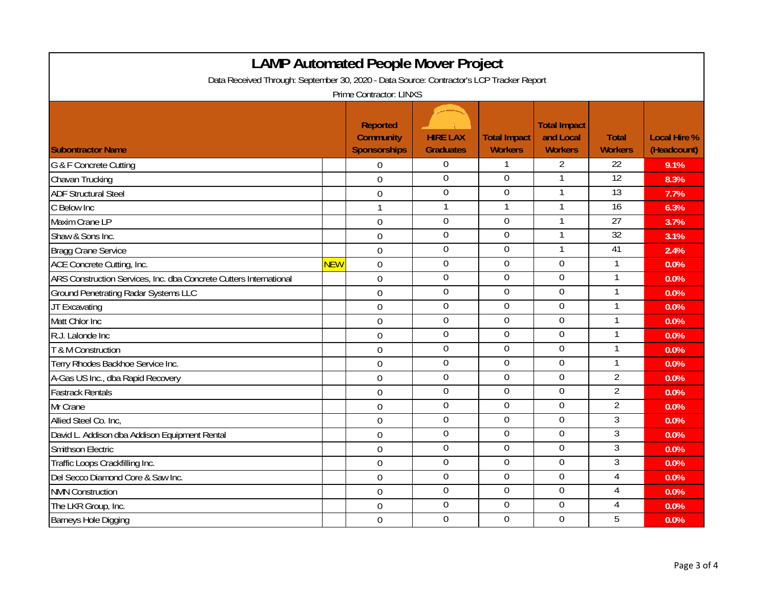| <b>LAMP Automated People Mover Project</b>                                               |            |                                                            |                                     |                                       |                                                    |                                |                                    |  |
|------------------------------------------------------------------------------------------|------------|------------------------------------------------------------|-------------------------------------|---------------------------------------|----------------------------------------------------|--------------------------------|------------------------------------|--|
| Data Received Through: September 30, 2020 - Data Source: Contractor's LCP Tracker Report |            |                                                            |                                     |                                       |                                                    |                                |                                    |  |
| Prime Contractor: LINXS                                                                  |            |                                                            |                                     |                                       |                                                    |                                |                                    |  |
| <b>Subontractor Name</b>                                                                 |            | <b>Reported</b><br><b>Community</b><br><b>Sponsorships</b> | <b>HIRE LAX</b><br><b>Graduates</b> | <b>Total Impact</b><br><b>Workers</b> | <b>Total Impact</b><br>and Local<br><b>Workers</b> | <b>Total</b><br><b>Workers</b> | <b>Local Hire %</b><br>(Headcount) |  |
| G & F Concrete Cutting                                                                   |            | $\Omega$                                                   | $\Omega$                            | 1                                     | $\overline{2}$                                     | 22                             | 9.1%                               |  |
| Chavan Trucking                                                                          |            | $\mathbf 0$                                                | $\overline{0}$                      | 0                                     | 1                                                  | 12                             | 8.3%                               |  |
| <b>ADF Structural Steel</b>                                                              |            | $\mathbf 0$                                                | $\overline{0}$                      | 0                                     | $\mathbf{1}$                                       | 13                             | 7.7%                               |  |
| C Below Inc                                                                              |            | $\mathbf{1}$                                               | 1                                   | 1                                     | $\mathbf{1}$                                       | $\overline{16}$                | 6.3%                               |  |
| Maxim Crane LP                                                                           |            | $\mathbf 0$                                                | $\Omega$                            | $\overline{0}$                        | 1                                                  | 27                             | 3.7%                               |  |
| Shaw & Sons Inc.                                                                         |            | $\mathbf 0$                                                | $\mathbf 0$                         | $\boldsymbol{0}$                      | $\mathbf{1}$                                       | $\overline{32}$                | 3.1%                               |  |
| <b>Bragg Crane Service</b>                                                               |            | $\overline{0}$                                             | $\mathbf 0$                         | 0                                     | 1                                                  | 41                             | 2.4%                               |  |
| ACE Concrete Cutting, Inc.                                                               | <b>NEW</b> | $\boldsymbol{0}$                                           | $\overline{0}$                      | $\mathbf 0$                           | $\overline{0}$                                     | $\mathbf{1}$                   | 0.0%                               |  |
| ARS Construction Services, Inc. dba Concrete Cutters International                       |            | $\mathbf 0$                                                | $\mathbf 0$                         | $\mathbf 0$                           | $\mathbf 0$                                        | 1                              | 0.0%                               |  |
| <b>Ground Penetrating Radar Systems LLC</b>                                              |            | $\mathbf 0$                                                | $\mathbf 0$                         | $\mathbf 0$                           | $\mathbf 0$                                        | 1                              | 0.0%                               |  |
| JT Excavating                                                                            |            | $\overline{0}$                                             | $\overline{0}$                      | $\overline{0}$                        | $\overline{0}$                                     | $\mathbf{1}$                   | 0.0%                               |  |
| Matt Chlor Inc                                                                           |            | $\mathbf 0$                                                | $\overline{0}$                      | $\mathbf 0$                           | $\Omega$                                           | $\mathbf{1}$                   | 0.0%                               |  |
| R.J. Lalonde Inc                                                                         |            | $\mathbf 0$                                                | $\mathbf 0$                         | $\boldsymbol{0}$                      | $\boldsymbol{0}$                                   | $\mathbf{1}$                   | 0.0%                               |  |
| T & M Construction                                                                       |            | $\mathbf 0$                                                | $\mathbf 0$                         | $\mathbf 0$                           | $\mathbf 0$                                        | 1                              | 0.0%                               |  |
| Terry Rhodes Backhoe Service Inc.                                                        |            | $\mathbf 0$                                                | $\overline{0}$                      | 0                                     | $\overline{0}$                                     | $\mathbf{1}$                   | 0.0%                               |  |
| A-Gas US Inc., dba Rapid Recovery                                                        |            | $\mathbf 0$                                                | $\mathbf 0$                         | 0                                     | $\mathbf 0$                                        | $\overline{2}$                 | 0.0%                               |  |
| <b>Fastrack Rentals</b>                                                                  |            | $\overline{0}$                                             | $\overline{0}$                      | $\overline{0}$                        | $\overline{0}$                                     | $\overline{2}$                 | 0.0%                               |  |
| Mr Crane                                                                                 |            | $\overline{0}$                                             | $\overline{0}$                      | $\overline{0}$                        | $\overline{0}$                                     | $\overline{2}$                 | 0.0%                               |  |
| Allied Steel Co. Inc,                                                                    |            | $\mathbf 0$                                                | $\overline{0}$                      | $\mathbf 0$                           | $\mathbf 0$                                        | $\overline{3}$                 | 0.0%                               |  |
| David L. Addison dba Addison Equipment Rental                                            |            | $\mathbf 0$                                                | $\overline{0}$                      | 0                                     | $\mathbf 0$                                        | 3                              | 0.0%                               |  |
| <b>Smithson Electric</b>                                                                 |            | $\overline{0}$                                             | $\overline{0}$                      | $\overline{0}$                        | $\mathbf 0$                                        | $\overline{3}$                 | 0.0%                               |  |
| Traffic Loops Crackfilling Inc.                                                          |            | $\overline{0}$                                             | $\overline{0}$                      | $\boldsymbol{0}$                      | $\boldsymbol{0}$                                   | 3                              | 0.0%                               |  |
| Del Secco Diamond Core & Saw Inc.                                                        |            | $\mathbf 0$                                                | $\mathbf 0$                         | $\boldsymbol{0}$                      | $\mathbf 0$                                        | 4                              | 0.0%                               |  |
| <b>NMN Construction</b>                                                                  |            | $\overline{0}$                                             | $\overline{0}$                      | $\overline{0}$                        | $\overline{0}$                                     | 4                              | 0.0%                               |  |
| The LKR Group, Inc.                                                                      |            | $\boldsymbol{0}$                                           | $\mathbf 0$                         | $\mathbf 0$                           | $\mathbf 0$                                        | 4                              | 0.0%                               |  |
| Barneys Hole Digging                                                                     |            | $\overline{0}$                                             | $\mathbf 0$                         | $\mathbf 0$                           | $\mathbf 0$                                        | 5                              | 0.0%                               |  |

Г